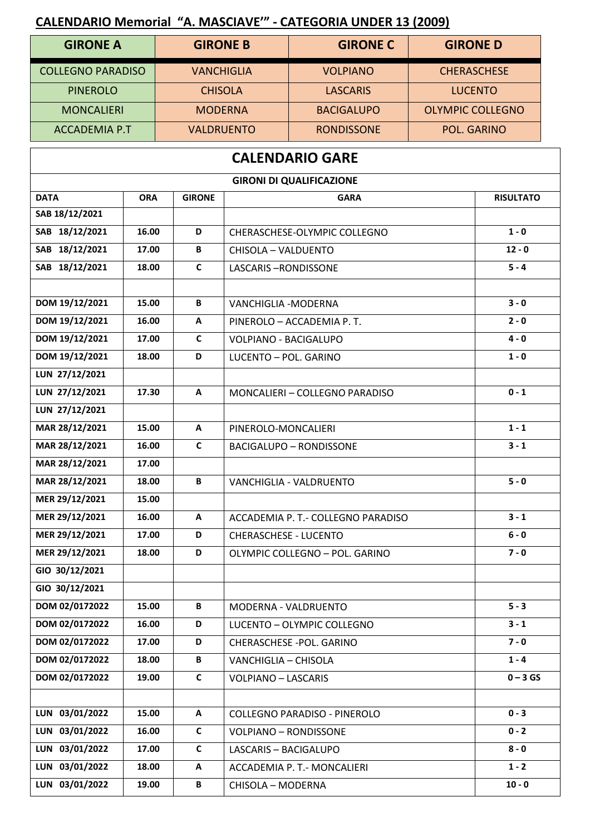## **CALENDARIO Memorial "A. MASCIAVE'" - CATEGORIA UNDER 13 (2009)**

| <b>GIRONE A</b>          | <b>GIRONE B</b>   | <b>GIRONE C</b>   | <b>GIRONE D</b>         |  |
|--------------------------|-------------------|-------------------|-------------------------|--|
| <b>COLLEGNO PARADISO</b> | <b>VANCHIGLIA</b> | <b>VOLPIANO</b>   | <b>CHERASCHESE</b>      |  |
| <b>PINEROLO</b>          | <b>CHISOLA</b>    | <b>LASCARIS</b>   | <b>LUCENTO</b>          |  |
| <b>MONCALIERI</b>        | <b>MODERNA</b>    | <b>BACIGALUPO</b> | <b>OLYMPIC COLLEGNO</b> |  |
| <b>ACCADEMIA P.T</b>     | <b>VALDRUENTO</b> | <b>RONDISSONE</b> | <b>POL. GARINO</b>      |  |

| <b>GIRONI DI QUALIFICAZIONE</b><br><b>DATA</b><br><b>ORA</b><br><b>GIRONE</b><br><b>GARA</b><br>SAB 18/12/2021<br>SAB 18/12/2021<br>$1 - 0$<br>16.00<br>D<br>CHERASCHESE-OLYMPIC COLLEGNO<br>SAB 18/12/2021<br>17.00<br>B<br>$12 - 0$<br>CHISOLA - VALDUENTO<br>SAB 18/12/2021<br>C<br>$5 - 4$<br>18.00<br><b>LASCARIS-RONDISSONE</b><br>DOM 19/12/2021<br>B<br>$3 - 0$<br>15.00<br>VANCHIGLIA - MODERNA<br>DOM 19/12/2021<br>16.00<br>A<br>$2 - 0$<br>PINEROLO - ACCADEMIA P.T.<br>DOM 19/12/2021<br>C<br>$4 - 0$<br>17.00<br>VOLPIANO - BACIGALUPO<br>DOM 19/12/2021<br>D<br>18.00<br>LUCENTO - POL. GARINO<br>$1 - 0$<br>LUN 27/12/2021<br>LUN 27/12/2021<br>$0 - 1$<br>17.30<br>A<br>MONCALIERI - COLLEGNO PARADISO | <b>CALENDARIO GARE</b> |  |  |  |  |  |  |
|-------------------------------------------------------------------------------------------------------------------------------------------------------------------------------------------------------------------------------------------------------------------------------------------------------------------------------------------------------------------------------------------------------------------------------------------------------------------------------------------------------------------------------------------------------------------------------------------------------------------------------------------------------------------------------------------------------------------------|------------------------|--|--|--|--|--|--|
|                                                                                                                                                                                                                                                                                                                                                                                                                                                                                                                                                                                                                                                                                                                         |                        |  |  |  |  |  |  |
|                                                                                                                                                                                                                                                                                                                                                                                                                                                                                                                                                                                                                                                                                                                         | <b>RISULTATO</b>       |  |  |  |  |  |  |
|                                                                                                                                                                                                                                                                                                                                                                                                                                                                                                                                                                                                                                                                                                                         |                        |  |  |  |  |  |  |
|                                                                                                                                                                                                                                                                                                                                                                                                                                                                                                                                                                                                                                                                                                                         |                        |  |  |  |  |  |  |
|                                                                                                                                                                                                                                                                                                                                                                                                                                                                                                                                                                                                                                                                                                                         |                        |  |  |  |  |  |  |
|                                                                                                                                                                                                                                                                                                                                                                                                                                                                                                                                                                                                                                                                                                                         |                        |  |  |  |  |  |  |
|                                                                                                                                                                                                                                                                                                                                                                                                                                                                                                                                                                                                                                                                                                                         |                        |  |  |  |  |  |  |
|                                                                                                                                                                                                                                                                                                                                                                                                                                                                                                                                                                                                                                                                                                                         |                        |  |  |  |  |  |  |
|                                                                                                                                                                                                                                                                                                                                                                                                                                                                                                                                                                                                                                                                                                                         |                        |  |  |  |  |  |  |
|                                                                                                                                                                                                                                                                                                                                                                                                                                                                                                                                                                                                                                                                                                                         |                        |  |  |  |  |  |  |
|                                                                                                                                                                                                                                                                                                                                                                                                                                                                                                                                                                                                                                                                                                                         |                        |  |  |  |  |  |  |
|                                                                                                                                                                                                                                                                                                                                                                                                                                                                                                                                                                                                                                                                                                                         |                        |  |  |  |  |  |  |
|                                                                                                                                                                                                                                                                                                                                                                                                                                                                                                                                                                                                                                                                                                                         |                        |  |  |  |  |  |  |
| LUN 27/12/2021                                                                                                                                                                                                                                                                                                                                                                                                                                                                                                                                                                                                                                                                                                          |                        |  |  |  |  |  |  |
| MAR 28/12/2021<br>$1 - 1$<br>15.00<br>A<br>PINEROLO-MONCALIERI                                                                                                                                                                                                                                                                                                                                                                                                                                                                                                                                                                                                                                                          |                        |  |  |  |  |  |  |
| MAR 28/12/2021<br>C<br>$3 - 1$<br>16.00<br><b>BACIGALUPO - RONDISSONE</b>                                                                                                                                                                                                                                                                                                                                                                                                                                                                                                                                                                                                                                               |                        |  |  |  |  |  |  |
| MAR 28/12/2021<br>17.00                                                                                                                                                                                                                                                                                                                                                                                                                                                                                                                                                                                                                                                                                                 |                        |  |  |  |  |  |  |
| MAR 28/12/2021<br>$5 - 0$<br>18.00<br>B<br>VANCHIGLIA - VALDRUENTO                                                                                                                                                                                                                                                                                                                                                                                                                                                                                                                                                                                                                                                      |                        |  |  |  |  |  |  |
| MER 29/12/2021<br>15.00                                                                                                                                                                                                                                                                                                                                                                                                                                                                                                                                                                                                                                                                                                 |                        |  |  |  |  |  |  |
| MER 29/12/2021<br>$3 - 1$<br>ACCADEMIA P. T.- COLLEGNO PARADISO<br>16.00<br>A                                                                                                                                                                                                                                                                                                                                                                                                                                                                                                                                                                                                                                           |                        |  |  |  |  |  |  |
| MER 29/12/2021<br>17.00<br>D<br><b>CHERASCHESE - LUCENTO</b><br>$6 - 0$                                                                                                                                                                                                                                                                                                                                                                                                                                                                                                                                                                                                                                                 |                        |  |  |  |  |  |  |
| MER 29/12/2021<br>$7 - 0$<br>18.00<br>D<br>OLYMPIC COLLEGNO - POL. GARINO                                                                                                                                                                                                                                                                                                                                                                                                                                                                                                                                                                                                                                               |                        |  |  |  |  |  |  |
| GIO 30/12/2021                                                                                                                                                                                                                                                                                                                                                                                                                                                                                                                                                                                                                                                                                                          |                        |  |  |  |  |  |  |
| GIO 30/12/2021                                                                                                                                                                                                                                                                                                                                                                                                                                                                                                                                                                                                                                                                                                          |                        |  |  |  |  |  |  |
| DOM 02/0172022<br>$5 - 3$<br>15.00<br>В<br>MODERNA - VALDRUENTO                                                                                                                                                                                                                                                                                                                                                                                                                                                                                                                                                                                                                                                         |                        |  |  |  |  |  |  |
| DOM 02/0172022<br>$3 - 1$<br>16.00<br>D<br>LUCENTO - OLYMPIC COLLEGNO                                                                                                                                                                                                                                                                                                                                                                                                                                                                                                                                                                                                                                                   |                        |  |  |  |  |  |  |
| $7 - 0$<br>DOM 02/0172022<br>17.00<br>D<br>CHERASCHESE - POL. GARINO                                                                                                                                                                                                                                                                                                                                                                                                                                                                                                                                                                                                                                                    |                        |  |  |  |  |  |  |
| DOM 02/0172022<br>$1 - 4$<br>18.00<br>B<br>VANCHIGLIA - CHISOLA                                                                                                                                                                                                                                                                                                                                                                                                                                                                                                                                                                                                                                                         |                        |  |  |  |  |  |  |
| DOM 02/0172022<br>19.00<br>$\mathsf{C}$<br><b>VOLPIANO - LASCARIS</b>                                                                                                                                                                                                                                                                                                                                                                                                                                                                                                                                                                                                                                                   | $0 - 3GS$              |  |  |  |  |  |  |
|                                                                                                                                                                                                                                                                                                                                                                                                                                                                                                                                                                                                                                                                                                                         |                        |  |  |  |  |  |  |
| LUN 03/01/2022<br>$0 - 3$<br>15.00<br>COLLEGNO PARADISO - PINEROLO<br>A                                                                                                                                                                                                                                                                                                                                                                                                                                                                                                                                                                                                                                                 |                        |  |  |  |  |  |  |
| LUN 03/01/2022<br>$\mathsf{C}$<br>$0 - 2$<br>16.00<br><b>VOLPIANO - RONDISSONE</b>                                                                                                                                                                                                                                                                                                                                                                                                                                                                                                                                                                                                                                      |                        |  |  |  |  |  |  |
| LUN 03/01/2022<br>$\mathsf{C}$<br>$8 - 0$<br>17.00<br>LASCARIS - BACIGALUPO                                                                                                                                                                                                                                                                                                                                                                                                                                                                                                                                                                                                                                             |                        |  |  |  |  |  |  |
| LUN 03/01/2022<br>$1 - 2$<br>18.00<br>A<br>ACCADEMIA P. T.- MONCALIERI                                                                                                                                                                                                                                                                                                                                                                                                                                                                                                                                                                                                                                                  |                        |  |  |  |  |  |  |
| LUN 03/01/2022<br>$10 - 0$<br>19.00<br>B<br><b>CHISOLA - MODERNA</b>                                                                                                                                                                                                                                                                                                                                                                                                                                                                                                                                                                                                                                                    |                        |  |  |  |  |  |  |